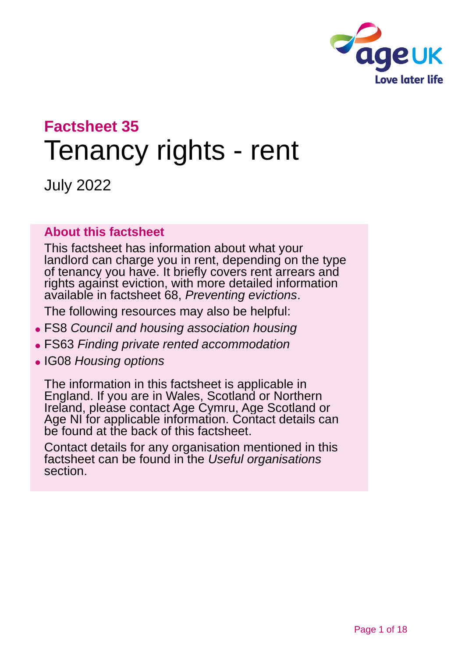

# **Factsheet 35** Tenancy rights - rent

July 2022

#### **About this factsheet**

This factsheet has information about what your landlord can charge you in rent, depending on the type of tenancy you have. It briefly covers rent arrears and rights against eviction, with more detailed information available in factsheet 68, *[Preventing](https://www.ageuk.org.uk/globalassets/age-uk/documents/factsheets/fs68_tenancy_rights_security_of_tenure_fcs.pdf) evictions*.

The following resources may also be helpful:

- ⚫ FS8 *[Council and housing association housing](https://www.ageuk.org.uk/globalassets/age-uk/documents/factsheets/fs8_council_and_housing_association_housing_fcs.pdf)*
- ⚫ FS63 *[Finding private rented accommodation](https://www.ageuk.org.uk/globalassets/age-uk/documents/factsheets/fs63_finding_private_rented_accommodation_fcs.pdf?dtrk=true)*
- ⚫ IG08 *[Housing options](https://www.ageuk.org.uk/globalassets/age-uk/documents/information-guides/ageukig08_housing_options_inf.pdf?dtrk=true)*

The information in this factsheet is applicable in England. If you are in Wales, Scotland or Northern Ireland, please [contact Age Cymru, Age Scotland or](#page-16-0)  [Age NI](#page-16-0) for applicable information. Contact details can be found at the [back of this factsheet.](#page-16-1)

Contact details for any organisation mentioned in this factsheet can be found in the *[Useful organisations](#page-14-0)* section.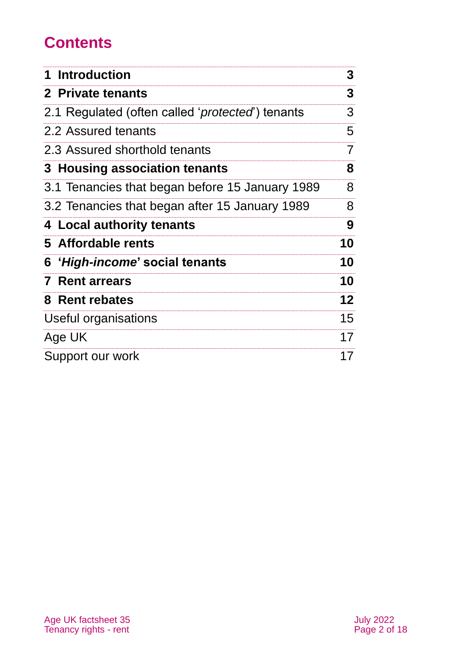# **Contents**

| 1 Introduction                                            | 3              |
|-----------------------------------------------------------|----------------|
| 2 Private tenants                                         | 3              |
| 2.1 Regulated (often called ' <i>protected</i> ') tenants | 3              |
| 2.2 Assured tenants                                       | 5              |
| 2.3 Assured shorthold tenants                             | $\overline{7}$ |
| 3 Housing association tenants                             | 8              |
| 3.1 Tenancies that began before 15 January 1989           | 8              |
| 3.2 Tenancies that began after 15 January 1989            | 8              |
| 4 Local authority tenants                                 | 9              |
| 5 Affordable rents                                        | 10             |
| 6 <i>'High-income'</i> social tenants                     | 10             |
| <b>7 Rent arrears</b>                                     | 10             |
| 8 Rent rebates                                            | 12             |
| Useful organisations                                      | 15             |
| Age UK                                                    | 17             |
| Support our work                                          | 17             |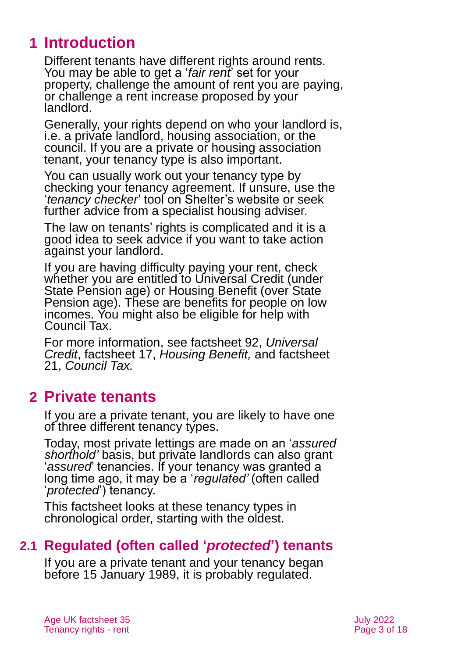# <span id="page-2-0"></span>**1 Introduction**

Different tenants have different rights around rents. You may be able to get a '*fair rent*' set for your property, challenge the amount of rent you are paying, or challenge a rent increase proposed by your landlord.

Generally, your rights depend on who your landlord is, i.e. a private landlord, housing association, or the council. If you are a private or housing association tenant, your tenancy type is also important.

You can usually work out your tenancy type by checking your tenancy agreement. If unsure, use the '*[tenancy checker](https://england.shelter.org.uk/housing_advice/downloads_and_tools/tenancy_rights_checker)*' tool on [Shelter's website](https://england.shelter.org.uk/) or seek further advice from a specialist housing adviser.

The law on tenants' rights is complicated and it is a good idea to seek advice if you want to take action against your landlord.

If you are having difficulty paying your rent, check whether you are entitled to Universal Credit (under State Pension age) or Housing Benefit (over State Pension age). These are benefits for people on low incomes. You might also be eligible for help with Council Tax.

For more information, see factsheet 92, *[Universal](https://www.ageuk.org.uk/globalassets/age-uk/documents/factsheets/fs92_universal_credit_fcs.pdf)  [Credit](https://www.ageuk.org.uk/globalassets/age-uk/documents/factsheets/fs92_universal_credit_fcs.pdf)*, factsheet 17, *[Housing Benefit,](https://www.ageuk.org.uk/globalassets/age-uk/documents/factsheets/fs17_housing_benefit_fcs.pdf)* and [factsheet](https://www.ageuk.org.uk/globalassets/age-uk/documents/factsheets/fs21_council_tax_fcs.pdf?dtrk=true)  21, *[Council Tax.](https://www.ageuk.org.uk/globalassets/age-uk/documents/factsheets/fs21_council_tax_fcs.pdf?dtrk=true)*

### <span id="page-2-1"></span>**2 Private tenants**

If you are a private tenant, you are likely to have one of three different tenancy types.

Today, most private lettings are made on an '*assured shorthold'* basis, but private landlords can also grant '*assured*' tenancies. If your tenancy was granted a long time ago, it may be a '*regulated'* (often called '*protected*') tenancy.

<span id="page-2-2"></span>This factsheet looks at these tenancy types in chronological order, starting with the oldest.

### **2.1 Regulated (often called '***protected***') tenants**

If you are a private tenant and your tenancy began before 15 January 1989, it is probably regulated.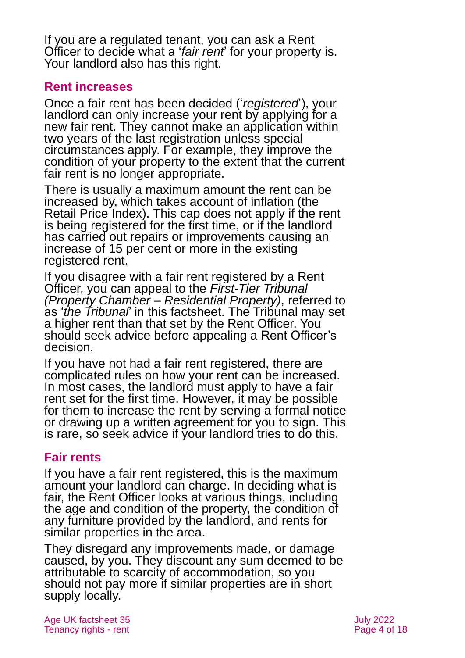If you are a regulated tenant, you can ask a Rent Officer to decide what a '*fair rent*' for your property is. Your landlord also has this right.

#### **Rent increases**

Once a fair rent has been decided ('*registered*'), your landlord can only increase your rent by applying for a new fair rent. They cannot make an application within two years of the last registration unless special circumstances apply. For example, they improve the condition of your property to the extent that the current fair rent is no longer appropriate.

There is usually a maximum amount the rent can be increased by, which takes account of inflation (the Retail Price Index). This cap does not apply if the rent is being registered for the first time, or if the landlord has carried out repairs or improvements causing an increase of 15 per cent or more in the existing registered rent.

If you disagree with a fair rent registered by a Rent Officer, you can appeal to the *First-Tier Tribunal (Property Chamber – Residential Property)*, referred to as '*the Tribunal*' in this factsheet. The Tribunal may set a higher rent than that set by the Rent Officer. You should seek advice before appealing a Rent Officer's decision.

If you have not had a fair rent registered, there are complicated rules on how your rent can be increased. In most cases, the landlord must apply to have a fair rent set for the first time. However, it may be possible for them to increase the rent by serving a formal notice or drawing up a written agreement for you to sign. This is rare, so seek advice if your landlord tries to do this.

#### **Fair rents**

If you have a fair rent registered, this is the maximum amount your landlord can charge. In deciding what is fair, the Rent Officer looks at various things, including the age and condition of the property, the condition of any furniture provided by the landlord, and rents for similar properties in the area.

They disregard any improvements made, or damage caused, by you. They discount any sum deemed to be attributable to scarcity of accommodation, so you should not pay more if similar properties are in short supply locally.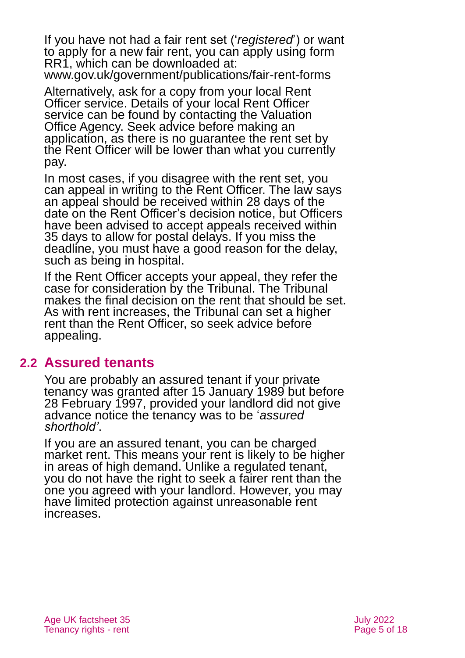If you have not had a fair rent set ('*registered*') or want to apply for a new fair rent, you can apply using form RR1, which can be downloaded at:

[www.gov.uk/government/publications/fair-rent-forms](http://www.gov.uk/government/publications/fair-rent-forms)

Alternatively, ask for a copy from your local Rent Officer service. Details of your local Rent Officer service can be found by contacting the Valuation Office Agency. Seek advice before making an application, as there is no guarantee the rent set by the Rent Officer will be lower than what you currently pay.

In most cases, if you disagree with the rent set, you can appeal in writing to the Rent Officer. The law says an appeal should be received within 28 days of the date on the Rent Officer's decision notice, but Officers have been advised to accept appeals received within 35 days to allow for postal delays. If you miss the deadline, you must have a good reason for the delay, such as being in hospital.

If the Rent Officer accepts your appeal, they refer the case for consideration by the Tribunal. The Tribunal makes the final decision on the rent that should be set. As with rent increases, the Tribunal can set a higher rent than the Rent Officer, so seek advice before appealing.

#### <span id="page-4-0"></span>**2.2 Assured tenants**

You are probably an assured tenant if your private tenancy was granted after 15 January 1989 but before 28 February 1997, provided your landlord did not give advance notice the tenancy was to be '*assured shorthold'*.

If you are an assured tenant, you can be charged market rent. This means your rent is likely to be higher in areas of high demand. Unlike a regulated tenant, you do not have the right to seek a fairer rent than the one you agreed with your landlord. However, you may have limited protection against unreasonable rent increases.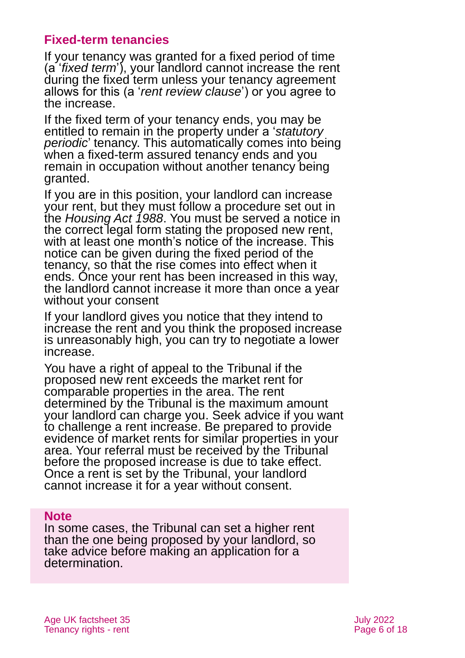#### **Fixed-term tenancies**

If your tenancy was granted for a fixed period of time (a '*fixed term*'), your landlord cannot increase the rent during the fixed term unless your tenancy agreement allows for this (a '*rent review clause*') or you agree to the increase.

If the fixed term of your tenancy ends, you may be entitled to remain in the property under a '*statutory periodic*' tenancy. This automatically comes into being when a fixed-term assured tenancy ends and you remain in occupation without another tenancy being granted.

If you are in this position, your landlord can increase your rent, but they must follow a procedure set out in the *[Housing Act 1988](http://www.legislation.gov.uk/ukpga/1988/50/contents)*. You must be served a notice in the correct legal form stating the proposed new rent, with at least one month's notice of the increase. This notice can be given during the fixed period of the tenancy, so that the rise comes into effect when it ends. Once your rent has been increased in this way, the landlord cannot increase it more than once a year without your consent

If your landlord gives you notice that they intend to increase the rent and you think the proposed increase is unreasonably high, you can try to negotiate a lower increase.

You have a right of appeal to the Tribunal if the proposed new rent exceeds the market rent for comparable properties in the area. The rent determined by the Tribunal is the maximum amount your landlord can charge you. Seek advice if you want to challenge a rent increase. Be prepared to provide evidence of market rents for similar properties in your area. Your referral must be received by the Tribunal before the proposed increase is due to take effect. Once a rent is set by the Tribunal, your landlord cannot increase it for a year without consent.

#### **Note**

In some cases, the Tribunal can set a higher rent than the one being proposed by your landlord, so take advice before making an application for a determination.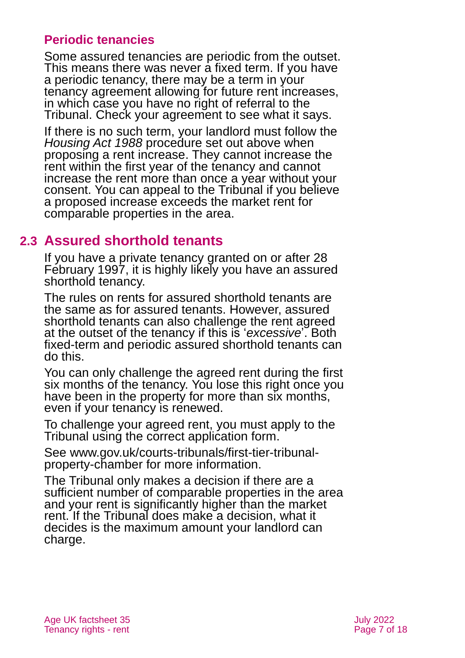#### **Periodic tenancies**

Some assured tenancies are periodic from the outset. This means there was never a fixed term. If you have a periodic tenancy, there may be a term in your tenancy agreement allowing for future rent increases, in which case you have no right of referral to the Tribunal. Check your agreement to see what it says.

If there is no such term, your landlord must follow the *Housing Act 1988* procedure set out above when proposing a rent increase. They cannot increase the rent within the first year of the tenancy and cannot increase the rent more than once a year without your consent. You can appeal to the Tribunal if you believe a proposed increase exceeds the market rent for comparable properties in the area.

### <span id="page-6-0"></span>**2.3 Assured shorthold tenants**

If you have a private tenancy granted on or after 28 February 1997, it is highly likely you have an assured shorthold tenancy.

The rules on rents for assured shorthold tenants are the same as for assured tenants. However, assured shorthold tenants can also challenge the rent agreed at the outset of the tenancy if this is '*excessive*'. Both fixed-term and periodic assured shorthold tenants can do this.

You can only challenge the agreed rent during the first six months of the tenancy. You lose this right once you have been in the property for more than six months, even if your tenancy is renewed.

To challenge your agreed rent, you must apply to the Tribunal using the correct application form.

See [www.gov.uk/courts-tribunals/first-tier-tribunal](http://www.gov.uk/courts-tribunals/first-tier-tribunal-property-chamber)[property-chamber](http://www.gov.uk/courts-tribunals/first-tier-tribunal-property-chamber) for more information.

The Tribunal only makes a decision if there are a sufficient number of comparable properties in the area and your rent is significantly higher than the market rent. If the Tribunal does make a decision, what it decides is the maximum amount your landlord can charge.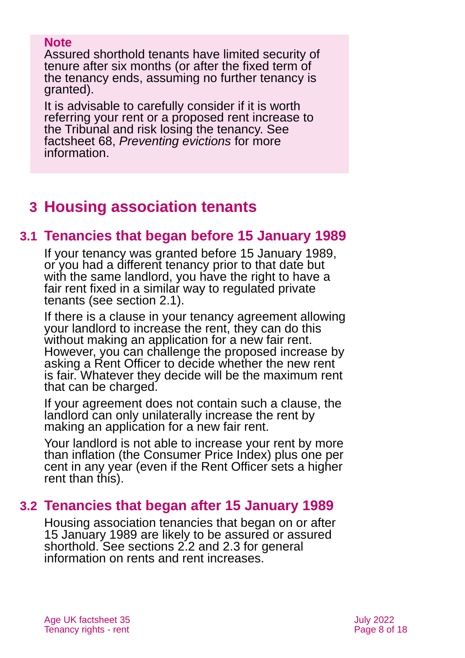#### **Note**

Assured shorthold tenants have limited security of tenure after six months (or after the fixed term of the tenancy ends, assuming no further tenancy is granted).

It is advisable to carefully consider if it is worth referring your rent or a proposed rent increase to the Tribunal and risk losing the tenancy. See [factsheet](https://www.ageuk.org.uk/globalassets/age-uk/documents/factsheets/fs68_tenancy_rights_security_of_tenure_fcs.pdf?dtrk=true) 68, *[Preventing evictions](https://www.ageuk.org.uk/globalassets/age-uk/documents/factsheets/fs68_tenancy_rights_security_of_tenure_fcs.pdf)* for more information.

# <span id="page-7-0"></span>**3 Housing association tenants**

### **3.1 Tenancies that began before 15 January 1989**

If your tenancy was granted before 15 January 1989, or you had a different tenancy prior to that date but with the same landlord, you have the right to have a fair rent fixed in a similar way to regulated private tenants [\(see section 2.1\)](#page-2-2).

If there is a clause in your tenancy agreement allowing your landlord to increase the rent, they can do this without making an application for a new fair rent. However, you can challenge the proposed increase by asking a Rent Officer to decide whether the new rent is fair. Whatever they decide will be the maximum rent that can be charged.

If your agreement does not contain such a clause, the landlord can only unilaterally increase the rent by making an application for a new fair rent.

Your landlord is not able to increase your rent by more than inflation (the Consumer Price Index) plus one per cent in any year (even if the Rent Officer sets a higher rent than this).

### **3.2 Tenancies that began after 15 January 1989**

Housing association tenancies that began on or after 15 January 1989 are likely to be assured or assured shorthold. [See sections](#page-4-0) 2.2 and [2.3](#page-6-0) for general information on rents and rent increases.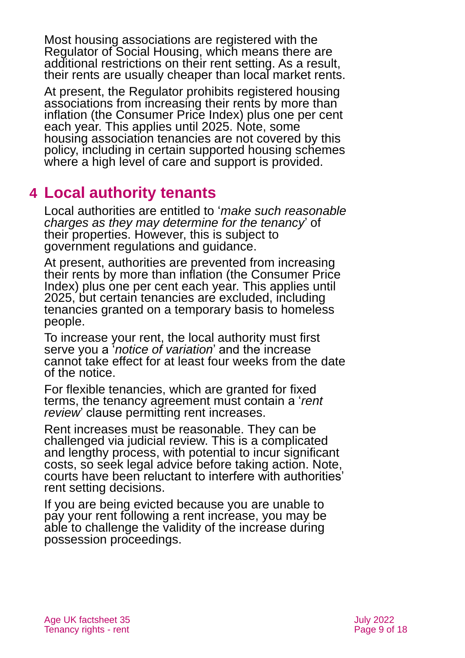Most housing associations are registered with the Regulator of Social Housing, which means there are additional restrictions on their rent setting. As a result, their rents are usually cheaper than local market rents.

At present, the Regulator prohibits registered housing associations from increasing their rents by more than inflation (the Consumer Price Index) plus one per cent each year. This applies until 2025. Note, some housing association tenancies are not covered by this policy, including in certain supported housing schemes where a high level of care and support is provided.

# <span id="page-8-0"></span>**4 Local authority tenants**

Local authorities are entitled to '*make such reasonable charges as they may determine for the tenancy*' of their properties. However, this is subject to government regulations and guidance.

At present, authorities are prevented from increasing their rents by more than inflation (the Consumer Price Index) plus one per cent each year. This applies until 2025, but certain tenancies are excluded, including tenancies granted on a temporary basis to homeless people.

To increase your rent, the local authority must first serve you a '*notice of variation*' and the increase cannot take effect for at least four weeks from the date of the notice.

For flexible tenancies, which are granted for fixed terms, the tenancy agreement must contain a '*rent review*' clause permitting rent increases.

Rent increases must be reasonable. They can be challenged via judicial review. This is a complicated and lengthy process, with potential to incur significant costs, so seek legal advice before taking action. Note, courts have been reluctant to interfere with authorities' rent setting decisions.

If you are being evicted because you are unable to pay your rent following a rent increase, you may be able to challenge the validity of the increase during possession proceedings.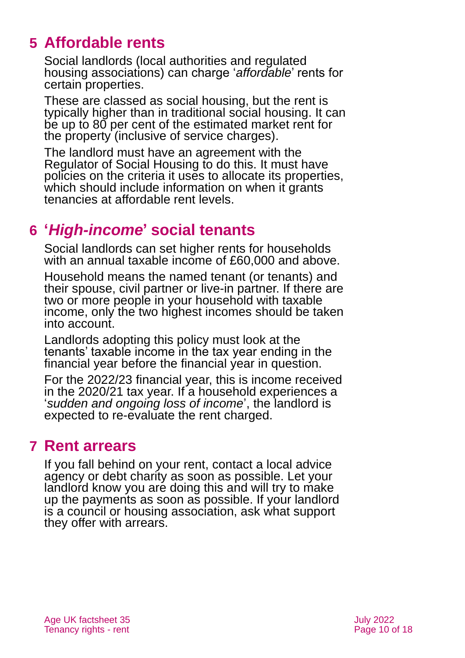# <span id="page-9-0"></span>**5 Affordable rents**

Social landlords (local authorities and regulated housing associations) can charge '*affordable*' rents for certain properties.

These are classed as social housing, but the rent is typically higher than in traditional social housing. It can be up to 80 per cent of the estimated market rent for the property (inclusive of service charges).

The landlord must have an agreement with the Regulator of Social Housing to do this. It must have policies on the criteria it uses to allocate its properties, which should include information on when it grants tenancies at affordable rent levels.

## <span id="page-9-1"></span>**6 '***High-income***' social tenants**

Social landlords can set higher rents for households with an annual taxable income of £60,000 and above.

Household means the named tenant (or tenants) and their spouse, civil partner or live-in partner. If there are two or more people in your household with taxable income, only the two highest incomes should be taken into account.

Landlords adopting this policy must look at the tenants' taxable income in the tax year ending in the financial year before the financial year in question.

For the 2022/23 financial year, this is income received in the 2020/21 tax year. If a household experiences a '*sudden and ongoing loss of income*', the landlord is expected to re-evaluate the rent charged.

### <span id="page-9-2"></span>**7 Rent arrears**

If you fall behind on your rent, contact a local advice agency or debt charity as soon as possible. Let your landlord know you are doing this and will try to make up the payments as soon as possible. If your landlord is a council or housing association, ask what support they offer with arrears.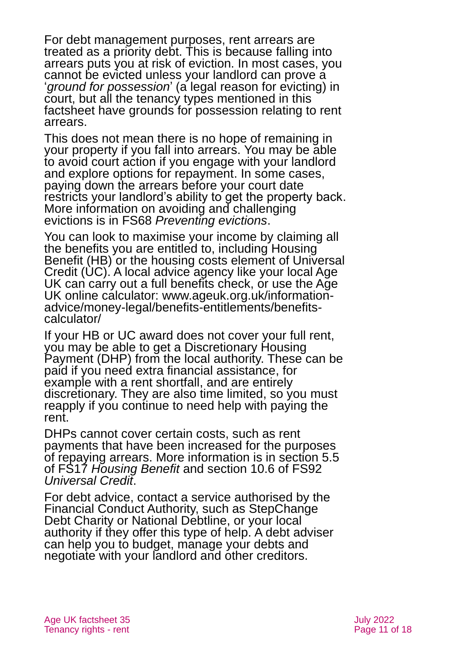For debt management purposes, rent arrears are treated as a priority debt. This is because falling into arrears puts you at risk of eviction. In most cases, you cannot be evicted unless your landlord can prove a '*ground for possession*' (a legal reason for evicting) in court, but all the tenancy types mentioned in this factsheet have grounds for possession relating to rent arrears.

This does not mean there is no hope of remaining in your property if you fall into arrears. You may be able to avoid court action if you engage with your landlord and explore options for repayment. In some cases, paying down the arrears before your court date restricts your landlord's ability to get the property back. More information on avoiding and challenging evictions is in FS68 *[Preventing evictions](https://www.ageuk.org.uk/globalassets/age-uk/documents/factsheets/fs68_preventing_evictions_fcs.pdf)*.

You can look to maximise your income by claiming all the benefits you are entitled to, including Housing Benefit (HB) or the housing costs element of Universal Credit (UC). A local advice agency like your local Age UK can carry out a full benefits check, or use the Age UK online calculator: [www.ageuk.org.uk/information](http://www.ageuk.org.uk/information-advice/money-legal/benefits-entitlements/benefits-calculator/)[advice/money-legal/benefits-entitlements/benefits](http://www.ageuk.org.uk/information-advice/money-legal/benefits-entitlements/benefits-calculator/)[calculator/](http://www.ageuk.org.uk/information-advice/money-legal/benefits-entitlements/benefits-calculator/)

If your HB or UC award does not cover your full rent, you may be able to get a Discretionary Housing Payment (DHP) from the local authority. These can be paid if you need extra financial assistance, for example with a rent shortfall, and are entirely discretionary. They are also time limited, so you must reapply if you continue to need help with paying the rent.

DHPs cannot cover certain costs, such as rent payments that have been increased for the purposes of repaying arrears. More information is in section 5.5 of FS17 *[Housing Benefit](https://www.ageuk.org.uk/globalassets/age-uk/documents/factsheets/fs17_housing_benefit_fcs.pdf)* and section 10.6 of [FS92](https://www.ageuk.org.uk/globalassets/age-uk/documents/factsheets/fs92_universal_credit_fcs.pdf)  *[Universal Credit](https://www.ageuk.org.uk/globalassets/age-uk/documents/factsheets/fs92_universal_credit_fcs.pdf)*.

For debt advice, contact a service authorised by the Financial Conduct Authority, such as StepChange Debt Charity or National Debtline, or your local authority if they offer this type of help. A debt adviser can help you to budget, manage your debts and negotiate with your landlord and other creditors.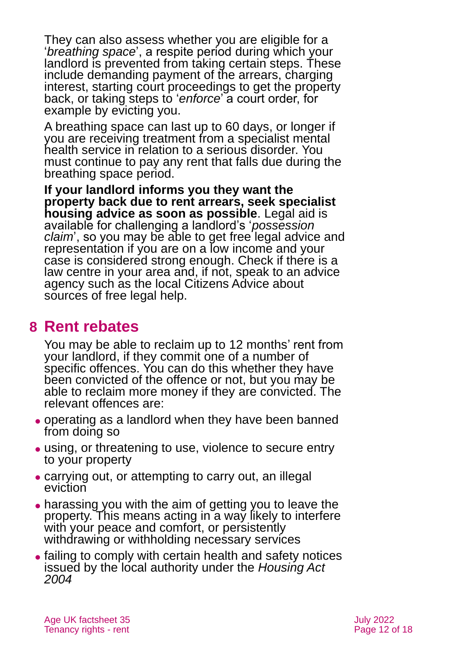They can also assess whether you are eligible for a '*breathing space*', a respite period during which your landlord is prevented from taking certain steps. These include demanding payment of the arrears, charging interest, starting court proceedings to get the property back, or taking steps to '*enforce*' a court order, for example by evicting you.

A breathing space can last up to 60 days, or longer if you are receiving treatment from a specialist mental health service in relation to a serious disorder. You must continue to pay any rent that falls due during the breathing space period.

**If your landlord informs you they want the property back due to rent arrears, seek specialist housing advice as soon as possible**. Legal aid is available for challenging a landlord's '*possession claim*', so you may be able to get free legal advice and representation if you are on a low income and your case is considered strong enough. Check if there is a law centre in your area and, if not, speak to an advice agency such as the local Citizens Advice about sources of free legal help.

### <span id="page-11-0"></span>**8 Rent rebates**

You may be able to reclaim up to 12 months' rent from your landlord, if they commit one of a number of specific offences. You can do this whether they have been convicted of the offence or not, but you may be able to reclaim more money if they are convicted. The relevant offences are:

- ⚫ operating as a landlord when they have been banned from doing so
- ⚫ using, or threatening to use, violence to secure entry to your property
- ⚫ carrying out, or attempting to carry out, an illegal eviction
- harassing you with the aim of getting you to leave the property. This means acting in a way likely to interfere with your peace and comfort, or persistently withdrawing or withholding necessary services
- ⚫ failing to comply with certain health and safety notices issued by the local authority under the *[Housing Act](http://www.legislation.gov.uk/ukpga/2004/34/contents)  [2004](http://www.legislation.gov.uk/ukpga/2004/34/contents)*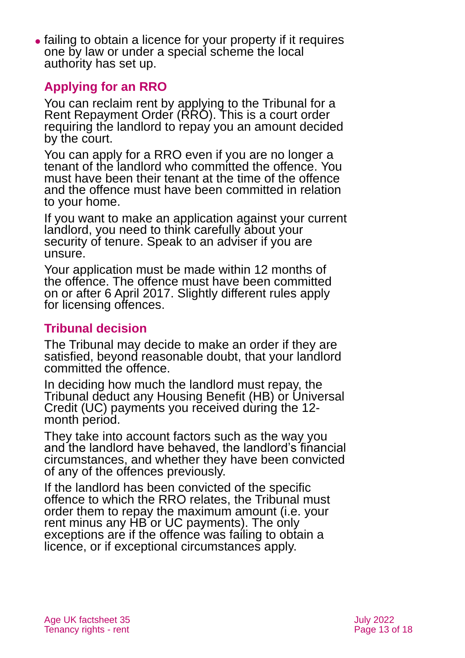⚫ failing to obtain a licence for your property if it requires one by law or under a special scheme the local authority has set up.

#### **Applying for an RRO**

You can reclaim rent by applying to the Tribunal for a Rent Repayment Order (RRO). This is a court order requiring the landlord to repay you an amount decided by the court.

You can apply for a RRO even if you are no longer a tenant of the landlord who committed the offence. You must have been their tenant at the time of the offence and the offence must have been committed in relation to your home.

If you want to make an application against your current landlord, you need to think carefully about your security of tenure. Speak to an adviser if you are unsure.

Your application must be made within 12 months of the offence. The offence must have been committed on or after 6 April 2017. Slightly different rules apply for licensing offences.

#### **Tribunal decision**

The Tribunal may decide to make an order if they are satisfied, beyond reasonable doubt, that your landlord committed the offence.

In deciding how much the landlord must repay, the Tribunal deduct any Housing Benefit (HB) or Universal Credit (UC) payments you received during the 12 month period.

They take into account factors such as the way you and the landlord have behaved, the landlord's financial circumstances, and whether they have been convicted of any of the offences previously.

If the landlord has been convicted of the specific offence to which the RRO relates, the Tribunal must order them to repay the maximum amount (i.e. your rent minus any HB or UC payments). The only exceptions are if the offence was failing to obtain a licence, or if exceptional circumstances apply.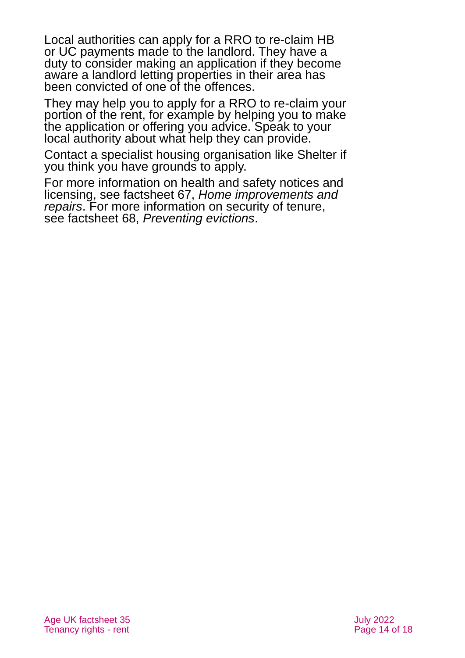Local authorities can apply for a RRO to re-claim HB or UC payments made to the landlord. They have a duty to consider making an application if they become aware a landlord letting properties in their area has been convicted of one of the offences.

They may help you to apply for a RRO to re-claim your portion of the rent, for example by helping you to make the application or offering you advice. Speak to your local authority about what help they can provide.

Contact a specialist housing organisation like [Shelter](#page-15-0) if you think you have grounds to apply.

For more information on health and safety notices and licensing, see factsheet 67, *[Home improvements and](https://www.ageuk.org.uk/globalassets/age-uk/documents/factsheets/fs67_home_improvements_and_repairs_fcs.pdf?dtrk=true)  [repairs](https://www.ageuk.org.uk/globalassets/age-uk/documents/factsheets/fs67_home_improvements_and_repairs_fcs.pdf?dtrk=true)*. For more information on security of tenure, see factsheet 68, *[Preventing evictions](https://www.ageuk.org.uk/globalassets/age-uk/documents/factsheets/fs68_tenancy_rights_security_of_tenure_fcs.pdf)*.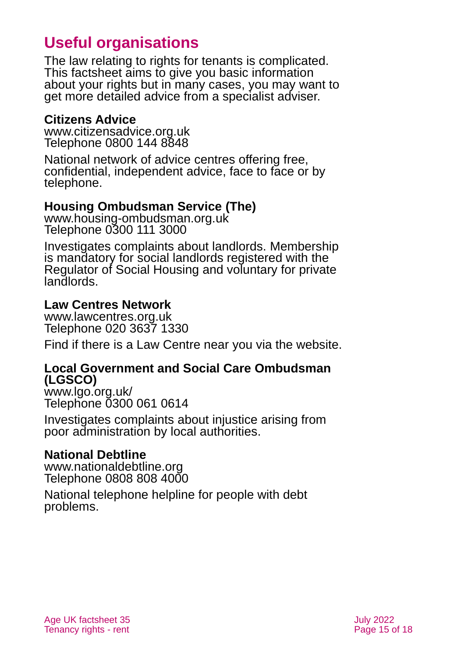# **Useful organisations**

The law relating to rights for tenants is complicated. This factsheet aims to give you basic information about your rights but in many cases, you may want to get more detailed advice from a specialist adviser.

#### <span id="page-14-0"></span>**Citizens Advice**

[www.citizensadvice.org.uk](http://www.citizensadvice.org.uk/) Telephone 0800 144 8848

National network of advice centres offering free, confidential, independent advice, face to face or by telephone.

#### **Housing Ombudsman Service (The)**

[www.housing-ombudsman.org.uk](http://www.housing-ombudsman.org.uk/) Telephone 0300 111 3000

Investigates complaints about landlords. Membership is mandatory for social landlords registered with the Regulator of Social Housing and voluntary for private landlords.

#### **Law Centres Network**

www.lawcentres.org.uk Telephone 020 3637 1330

Find if there is a Law Centre near you via the website.

#### **Local Government and Social Care Ombudsman (LGSCO)**

[www.lgo.org.uk/](http://www.lgo.org.uk/) Telephone 0300 061 0614

Investigates complaints about injustice arising from poor administration by local authorities.

#### **National Debtline**

[www.nationaldebtline.org](http://www.nationaldebtline.org/) Telephone 0808 808 4000

National telephone helpline for people with debt problems.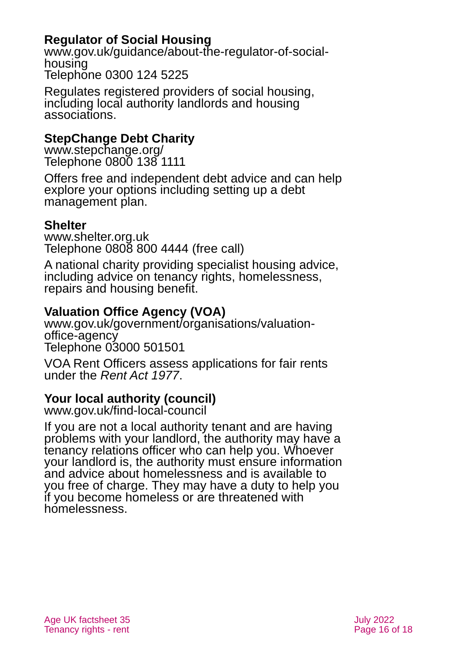#### **Regulator of Social Housing**

[www.gov.uk/guidance/about-the-regulator-of-social](http://www.gov.uk/guidance/about-the-regulator-of-social-housing)[housing](http://www.gov.uk/guidance/about-the-regulator-of-social-housing) Telephone 0300 124 5225

Regulates registered providers of social housing, including local authority landlords and housing associations.

#### **StepChange Debt Charity**

[www.stepchange.org/](http://www.stepchange.org/) Telephone 0800 138 1111

Offers free and independent debt advice and can help explore your options including setting up a debt management plan.

#### <span id="page-15-0"></span>**Shelter**

[www.shelter.org.uk](http://www.shelter.org.uk/) Telephone 0808 800 4444 (free call)

A national charity providing specialist housing advice, including advice on tenancy rights, homelessness, repairs and housing benefit.

#### **Valuation Office Agency (VOA)**

[www.gov.uk/government/organisations/valuation](http://www.gov.uk/government/organisations/valuation-office-agency)[office-agency](http://www.gov.uk/government/organisations/valuation-office-agency) Telephone 03000 501501

VOA Rent Officers assess applications for fair rents under the *Rent Act 1977*.

#### **Your local authority (council)**

[www.gov.uk/find-local-council](http://www.gov.uk/find-local-council)

If you are not a local authority tenant and are having problems with your landlord, the authority may have a tenancy relations officer who can help you. Whoever your landlord is, the authority must ensure information and advice about homelessness and is available to you free of charge. They may have a duty to help you if you become homeless or are threatened with homelessness.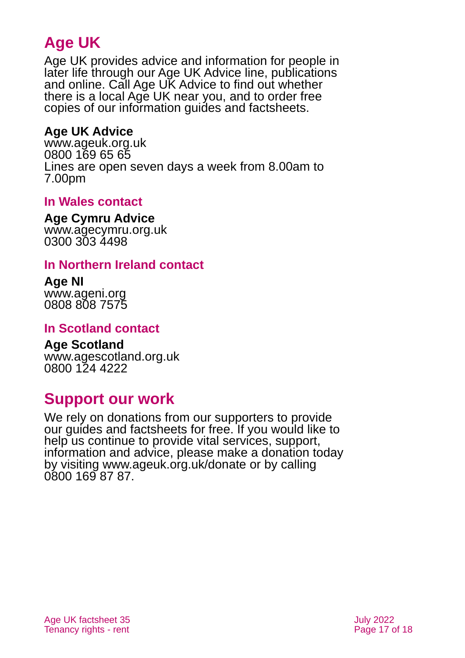# **Age UK**

Age UK provides advice and information for people in later life through our Age UK Advice line, publications and online. Call Age UK Advice to find out whether there is a local Age UK near you, and to order free copies of our information guides and factsheets.

#### <span id="page-16-1"></span>**Age UK Advice**

[www.ageuk.org.uk](http://www.ageuk.org.uk/) 0800 169 65 65 Lines are open seven days a week from 8.00am to 7.00pm

#### **In Wales contact**

#### **Age Cymru Advice**

[www.agecymru.org.uk](http://www.agecymru.org.uk/) 0300 303 4498

#### <span id="page-16-0"></span>**In Northern Ireland contact**

#### **Age NI** [www.ageni.org](http://www.ageni.org/)

0808 808 7575

#### **In Scotland contact**

# <span id="page-16-2"></span>**Age Scotland**

[www.agescotland.org.uk](http://www.agescotland.org.uk/) 0800 124 4222

# **Support our work**

We rely on donations from our supporters to provide our guides and factsheets for free. If you would like to help us continue to provide vital services, support, information and advice, please make a donation today by visiting [www.ageuk.org.uk/donate](http://www.ageuk.org.uk/donate) or by calling 0800 169 87 87.